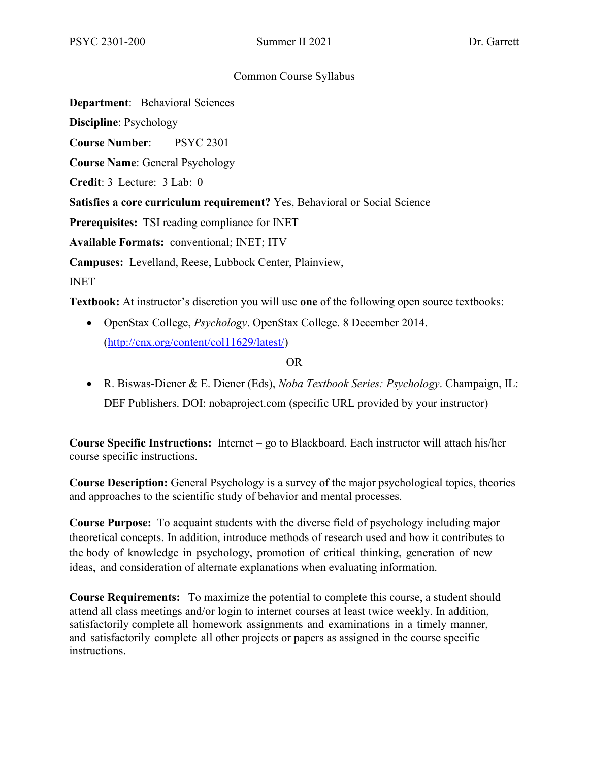#### Common Course Syllabus

**Department**: Behavioral Sciences

**Discipline**: Psychology

**Course Number**: PSYC 2301

**Course Name**: General Psychology

**Credit**: 3 Lecture: 3 Lab: 0

**Satisfies a core curriculum requirement?** Yes, Behavioral or Social Science

**Prerequisites:** TSI reading compliance for INET

**Available Formats:** conventional; INET; ITV

**Campuses:** Levelland, Reese, Lubbock Center, Plainview,

INET

**Textbook:** At instructor's discretion you will use **one** of the following open source textbooks:

• OpenStax College, *Psychology*. OpenStax College. 8 December 2014. [\(http://cnx.org/content/col11629/latest/\)](http://cnx.org/content/col11629/latest/)

#### OR

• R. Biswas-Diener & E. Diener (Eds), *Noba Textbook Series: Psychology*. Champaign, IL: DEF Publishers. DOI: nobaproject.com (specific URL provided by your instructor)

**Course Specific Instructions:** Internet – go to Blackboard. Each instructor will attach his/her course specific instructions.

**Course Description:** General Psychology is a survey of the major psychological topics, theories and approaches to the scientific study of behavior and mental processes.

**Course Purpose:** To acquaint students with the diverse field of psychology including major theoretical concepts. In addition, introduce methods of research used and how it contributes to the body of knowledge in psychology, promotion of critical thinking, generation of new ideas, and consideration of alternate explanations when evaluating information.

**Course Requirements:** To maximize the potential to complete this course, a student should attend all class meetings and/or login to internet courses at least twice weekly. In addition, satisfactorily complete all homework assignments and examinations in a timely manner, and satisfactorily complete all other projects or papers as assigned in the course specific instructions.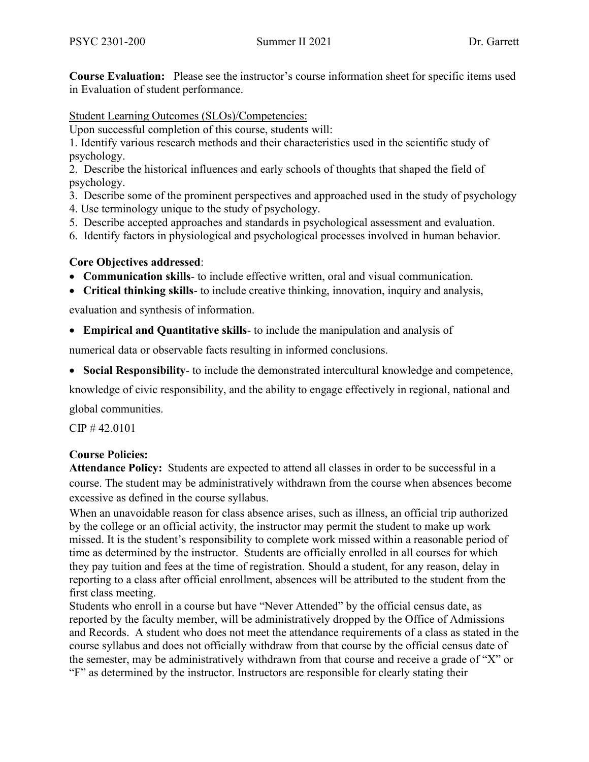**Course Evaluation:** Please see the instructor's course information sheet for specific items used in Evaluation of student performance.

Student Learning Outcomes (SLOs)/Competencies:

Upon successful completion of this course, students will:

1. Identify various research methods and their characteristics used in the scientific study of psychology.

2. Describe the historical influences and early schools of thoughts that shaped the field of psychology.

3. Describe some of the prominent perspectives and approached used in the study of psychology

- 4. Use terminology unique to the study of psychology.
- 5. Describe accepted approaches and standards in psychological assessment and evaluation.
- 6. Identify factors in physiological and psychological processes involved in human behavior.

# **Core Objectives addressed**:

- **Communication skills** to include effective written, oral and visual communication.
- **Critical thinking skills** to include creative thinking, innovation, inquiry and analysis,

evaluation and synthesis of information.

• **Empirical and Quantitative skills**- to include the manipulation and analysis of

numerical data or observable facts resulting in informed conclusions.

• **Social Responsibility**- to include the demonstrated intercultural knowledge and competence,

knowledge of civic responsibility, and the ability to engage effectively in regional, national and

global communities.

CIP # 42.0101

## **Course Policies:**

**Attendance Policy:** Students are expected to attend all classes in order to be successful in a course. The student may be administratively withdrawn from the course when absences become excessive as defined in the course syllabus.

When an unavoidable reason for class absence arises, such as illness, an official trip authorized by the college or an official activity, the instructor may permit the student to make up work missed. It is the student's responsibility to complete work missed within a reasonable period of time as determined by the instructor. Students are officially enrolled in all courses for which they pay tuition and fees at the time of registration. Should a student, for any reason, delay in reporting to a class after official enrollment, absences will be attributed to the student from the first class meeting.

Students who enroll in a course but have "Never Attended" by the official census date, as reported by the faculty member, will be administratively dropped by the Office of Admissions and Records. A student who does not meet the attendance requirements of a class as stated in the course syllabus and does not officially withdraw from that course by the official census date of the semester, may be administratively withdrawn from that course and receive a grade of "X" or "F" as determined by the instructor. Instructors are responsible for clearly stating their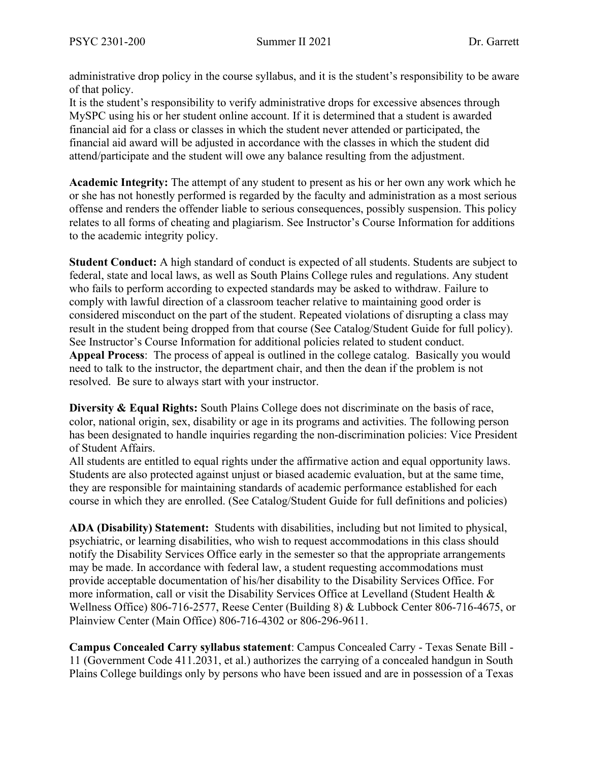administrative drop policy in the course syllabus, and it is the student's responsibility to be aware of that policy.

It is the student's responsibility to verify administrative drops for excessive absences through MySPC using his or her student online account. If it is determined that a student is awarded financial aid for a class or classes in which the student never attended or participated, the financial aid award will be adjusted in accordance with the classes in which the student did attend/participate and the student will owe any balance resulting from the adjustment.

**Academic Integrity:** The attempt of any student to present as his or her own any work which he or she has not honestly performed is regarded by the faculty and administration as a most serious offense and renders the offender liable to serious consequences, possibly suspension. This policy relates to all forms of cheating and plagiarism. See Instructor's Course Information for additions to the academic integrity policy.

**Student Conduct:** A high standard of conduct is expected of all students. Students are subject to federal, state and local laws, as well as South Plains College rules and regulations. Any student who fails to perform according to expected standards may be asked to withdraw. Failure to comply with lawful direction of a classroom teacher relative to maintaining good order is considered misconduct on the part of the student. Repeated violations of disrupting a class may result in the student being dropped from that course (See Catalog/Student Guide for full policy). See Instructor's Course Information for additional policies related to student conduct. **Appeal Process**: The process of appeal is outlined in the college catalog. Basically you would need to talk to the instructor, the department chair, and then the dean if the problem is not resolved. Be sure to always start with your instructor.

**Diversity & Equal Rights:** South Plains College does not discriminate on the basis of race, color, national origin, sex, disability or age in its programs and activities. The following person has been designated to handle inquiries regarding the non-discrimination policies: Vice President of Student Affairs.

All students are entitled to equal rights under the affirmative action and equal opportunity laws. Students are also protected against unjust or biased academic evaluation, but at the same time, they are responsible for maintaining standards of academic performance established for each course in which they are enrolled. (See Catalog/Student Guide for full definitions and policies)

**ADA (Disability) Statement:** Students with disabilities, including but not limited to physical, psychiatric, or learning disabilities, who wish to request accommodations in this class should notify the Disability Services Office early in the semester so that the appropriate arrangements may be made. In accordance with federal law, a student requesting accommodations must provide acceptable documentation of his/her disability to the Disability Services Office. For more information, call or visit the Disability Services Office at Levelland (Student Health & Wellness Office) 806-716-2577, Reese Center (Building 8) & Lubbock Center 806-716-4675, or Plainview Center (Main Office) 806-716-4302 or 806-296-9611.

**Campus Concealed Carry syllabus statement**: Campus Concealed Carry - Texas Senate Bill - 11 (Government Code 411.2031, et al.) authorizes the carrying of a concealed handgun in South Plains College buildings only by persons who have been issued and are in possession of a Texas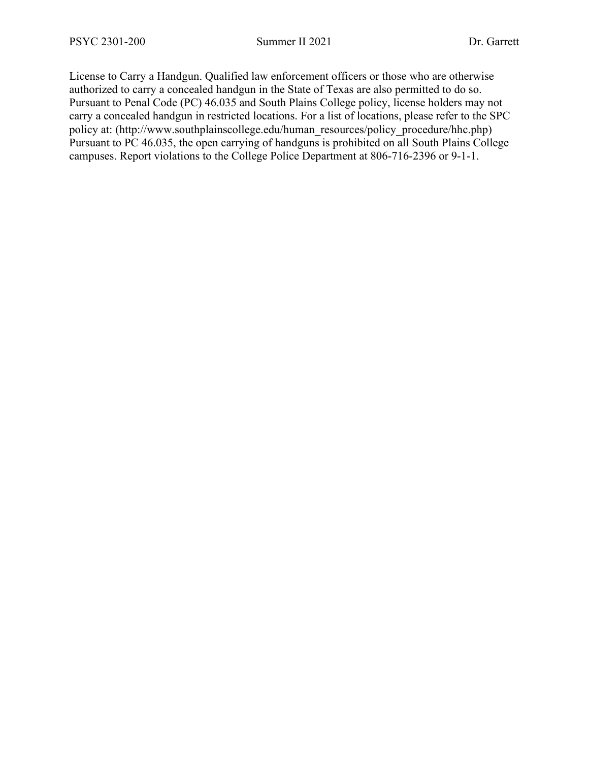License to Carry a Handgun. Qualified law enforcement officers or those who are otherwise authorized to carry a concealed handgun in the State of Texas are also permitted to do so. Pursuant to Penal Code (PC) 46.035 and South Plains College policy, license holders may not carry a concealed handgun in restricted locations. For a list of locations, please refer to the SPC policy at: (http://www.southplainscollege.edu/human\_resources/policy\_procedure/hhc.php) Pursuant to PC 46.035, the open carrying of handguns is prohibited on all South Plains College campuses. Report violations to the College Police Department at 806-716-2396 or 9-1-1.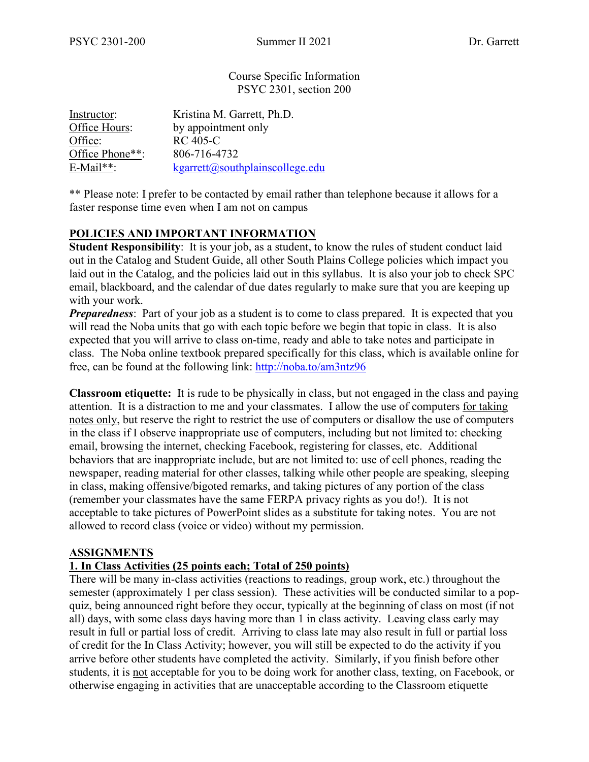Course Specific Information PSYC 2301, section 200

| Instructor:     | Kristina M. Garrett, Ph.D.      |
|-----------------|---------------------------------|
| Office Hours:   | by appointment only             |
| Office:         | <b>RC</b> 405-C                 |
| Office Phone**: | 806-716-4732                    |
| $E$ -Mail**:    | kgarrett@southplainscollege.edu |

\*\* Please note: I prefer to be contacted by email rather than telephone because it allows for a faster response time even when I am not on campus

# **POLICIES AND IMPORTANT INFORMATION**

**Student Responsibility**: It is your job, as a student, to know the rules of student conduct laid out in the Catalog and Student Guide, all other South Plains College policies which impact you laid out in the Catalog, and the policies laid out in this syllabus. It is also your job to check SPC email, blackboard, and the calendar of due dates regularly to make sure that you are keeping up with your work.

*Preparedness*: Part of your job as a student is to come to class prepared. It is expected that you will read the Noba units that go with each topic before we begin that topic in class. It is also expected that you will arrive to class on-time, ready and able to take notes and participate in class. The Noba online textbook prepared specifically for this class, which is available online for free, can be found at the following link:<http://noba.to/am3ntz96>

**Classroom etiquette:** It is rude to be physically in class, but not engaged in the class and paying attention. It is a distraction to me and your classmates. I allow the use of computers for taking notes only, but reserve the right to restrict the use of computers or disallow the use of computers in the class if I observe inappropriate use of computers, including but not limited to: checking email, browsing the internet, checking Facebook, registering for classes, etc. Additional behaviors that are inappropriate include, but are not limited to: use of cell phones, reading the newspaper, reading material for other classes, talking while other people are speaking, sleeping in class, making offensive/bigoted remarks, and taking pictures of any portion of the class (remember your classmates have the same FERPA privacy rights as you do!). It is not acceptable to take pictures of PowerPoint slides as a substitute for taking notes. You are not allowed to record class (voice or video) without my permission.

#### **ASSIGNMENTS**

## **1. In Class Activities (25 points each; Total of 250 points)**

There will be many in-class activities (reactions to readings, group work, etc.) throughout the semester (approximately 1 per class session). These activities will be conducted similar to a popquiz, being announced right before they occur, typically at the beginning of class on most (if not all) days, with some class days having more than 1 in class activity. Leaving class early may result in full or partial loss of credit. Arriving to class late may also result in full or partial loss of credit for the In Class Activity; however, you will still be expected to do the activity if you arrive before other students have completed the activity. Similarly, if you finish before other students, it is not acceptable for you to be doing work for another class, texting, on Facebook, or otherwise engaging in activities that are unacceptable according to the Classroom etiquette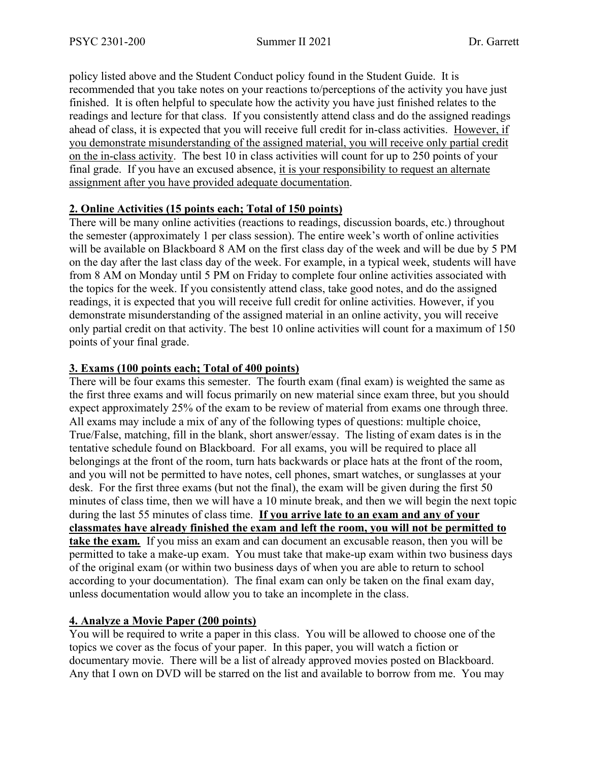policy listed above and the Student Conduct policy found in the Student Guide. It is recommended that you take notes on your reactions to/perceptions of the activity you have just finished. It is often helpful to speculate how the activity you have just finished relates to the readings and lecture for that class. If you consistently attend class and do the assigned readings ahead of class, it is expected that you will receive full credit for in-class activities. However, if you demonstrate misunderstanding of the assigned material, you will receive only partial credit on the in-class activity. The best 10 in class activities will count for up to 250 points of your final grade. If you have an excused absence, it is your responsibility to request an alternate assignment after you have provided adequate documentation.

## **2. Online Activities (15 points each; Total of 150 points)**

There will be many online activities (reactions to readings, discussion boards, etc.) throughout the semester (approximately 1 per class session). The entire week's worth of online activities will be available on Blackboard 8 AM on the first class day of the week and will be due by 5 PM on the day after the last class day of the week. For example, in a typical week, students will have from 8 AM on Monday until 5 PM on Friday to complete four online activities associated with the topics for the week. If you consistently attend class, take good notes, and do the assigned readings, it is expected that you will receive full credit for online activities. However, if you demonstrate misunderstanding of the assigned material in an online activity, you will receive only partial credit on that activity. The best 10 online activities will count for a maximum of 150 points of your final grade.

## **3. Exams (100 points each; Total of 400 points)**

There will be four exams this semester. The fourth exam (final exam) is weighted the same as the first three exams and will focus primarily on new material since exam three, but you should expect approximately 25% of the exam to be review of material from exams one through three. All exams may include a mix of any of the following types of questions: multiple choice, True/False, matching, fill in the blank, short answer/essay. The listing of exam dates is in the tentative schedule found on Blackboard. For all exams, you will be required to place all belongings at the front of the room, turn hats backwards or place hats at the front of the room, and you will not be permitted to have notes, cell phones, smart watches, or sunglasses at your desk. For the first three exams (but not the final), the exam will be given during the first 50 minutes of class time, then we will have a 10 minute break, and then we will begin the next topic during the last 55 minutes of class time. **If you arrive late to an exam and any of your classmates have already finished the exam and left the room, you will not be permitted to take the exam***.* If you miss an exam and can document an excusable reason, then you will be permitted to take a make-up exam. You must take that make-up exam within two business days of the original exam (or within two business days of when you are able to return to school according to your documentation). The final exam can only be taken on the final exam day, unless documentation would allow you to take an incomplete in the class.

# **4. Analyze a Movie Paper (200 points)**

You will be required to write a paper in this class. You will be allowed to choose one of the topics we cover as the focus of your paper. In this paper, you will watch a fiction or documentary movie. There will be a list of already approved movies posted on Blackboard. Any that I own on DVD will be starred on the list and available to borrow from me. You may